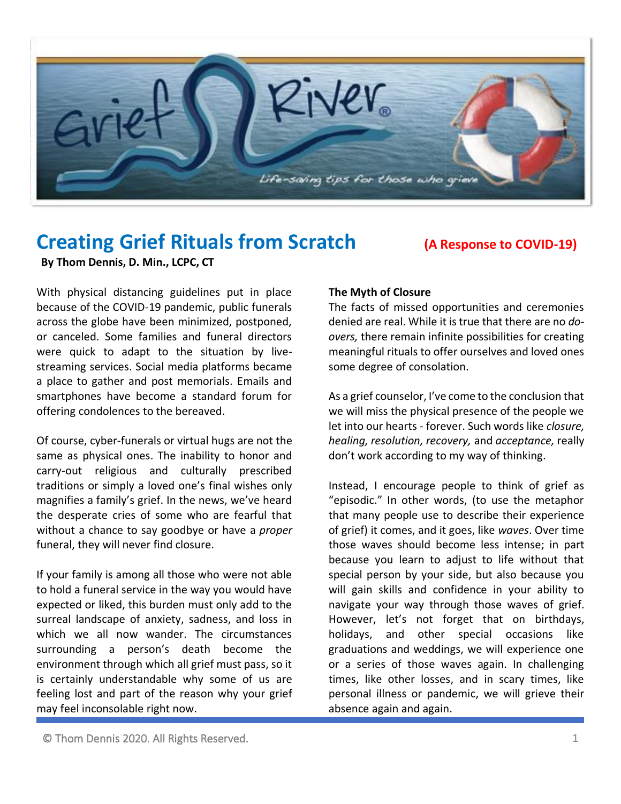

# **Creating Grief Rituals from Scratch (A Response to COVID-19)**

**By Thom Dennis, D. Min., LCPC, CT**

With physical distancing guidelines put in place because of the COVID-19 pandemic, public funerals across the globe have been minimized, postponed, or canceled. Some families and funeral directors were quick to adapt to the situation by livestreaming services. Social media platforms became a place to gather and post memorials. Emails and smartphones have become a standard forum for offering condolences to the bereaved.

Of course, cyber-funerals or virtual hugs are not the same as physical ones. The inability to honor and carry-out religious and culturally prescribed traditions or simply a loved one's final wishes only magnifies a family's grief. In the news, we've heard the desperate cries of some who are fearful that without a chance to say goodbye or have a *proper* funeral, they will never find closure.

If your family is among all those who were not able to hold a funeral service in the way you would have expected or liked, this burden must only add to the surreal landscape of anxiety, sadness, and loss in which we all now wander. The circumstances surrounding a person's death become the environment through which all grief must pass, so it is certainly understandable why some of us are feeling lost and part of the reason why your grief may feel inconsolable right now.

# **The Myth of Closure**

The facts of missed opportunities and ceremonies denied are real. While it is true that there are no *doovers,* there remain infinite possibilities for creating meaningful rituals to offer ourselves and loved ones some degree of consolation.

As a grief counselor, I've come to the conclusion that we will miss the physical presence of the people we let into our hearts - forever. Such words like *closure, healing, resolution, recovery,* and *acceptance,* really don't work according to my way of thinking.

Instead, I encourage people to think of grief as "episodic." In other words, (to use the metaphor that many people use to describe their experience of grief) it comes, and it goes, like *waves*. Over time those waves should become less intense; in part because you learn to adjust to life without that special person by your side, but also because you will gain skills and confidence in your ability to navigate your way through those waves of grief. However, let's not forget that on birthdays, holidays, and other special occasions like graduations and weddings, we will experience one or a series of those waves again. In challenging times, like other losses, and in scary times, like personal illness or pandemic, we will grieve their absence again and again.

© Thom Dennis 2020. All Rights Reserved. 1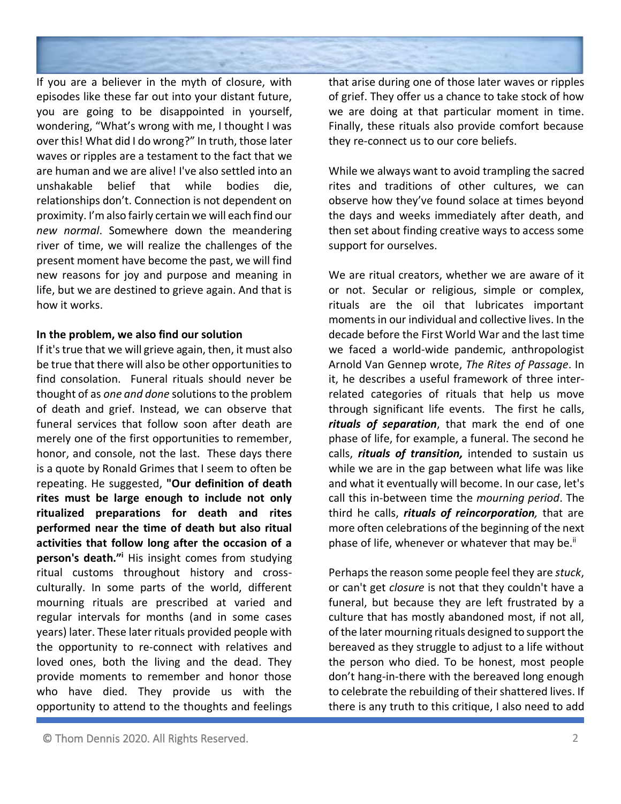

If you are a believer in the myth of closure, with episodes like these far out into your distant future, you are going to be disappointed in yourself, wondering, "What's wrong with me, I thought I was over this! What did I do wrong?" In truth, those later waves or ripples are a testament to the fact that we are human and we are alive! I've also settled into an unshakable belief that while bodies die, relationships don't. Connection is not dependent on proximity. I'm also fairly certain we will each find our *new normal*. Somewhere down the meandering river of time, we will realize the challenges of the present moment have become the past, we will find new reasons for joy and purpose and meaning in life, but we are destined to grieve again. And that is how it works.

#### **In the problem, we also find our solution**

If it's true that we will grieve again, then, it must also be true that there will also be other opportunities to find consolation. Funeral rituals should never be thought of as *one and done* solutionsto the problem of death and grief. Instead, we can observe that funeral services that follow soon after death are merely one of the first opportunities to remember, honor, and console, not the last. These days there is a quote by Ronald Grimes that I seem to often be repeating. He suggested, **"Our definition of death rites must be large enough to include not only ritualized preparations for death and rites performed near the time of death but also ritual activities that follow long after the occasion of a person's death."<sup>i</sup>** His insight comes from studying ritual customs throughout history and crossculturally. In some parts of the world, different mourning rituals are prescribed at varied and regular intervals for months (and in some cases years) later. These later rituals provided people with the opportunity to re-connect with relatives and loved ones, both the living and the dead. They provide moments to remember and honor those who have died. They provide us with the opportunity to attend to the thoughts and feelings

that arise during one of those later waves or ripples of grief. They offer us a chance to take stock of how we are doing at that particular moment in time. Finally, these rituals also provide comfort because they re-connect us to our core beliefs.

While we always want to avoid trampling the sacred rites and traditions of other cultures, we can observe how they've found solace at times beyond the days and weeks immediately after death, and then set about finding creative ways to access some support for ourselves.

We are ritual creators, whether we are aware of it or not. Secular or religious, simple or complex, rituals are the oil that lubricates important moments in our individual and collective lives. In the decade before the First World War and the last time we faced a world-wide pandemic, anthropologist Arnold Van Gennep wrote, *The Rites of Passage*. In it, he describes a useful framework of three interrelated categories of rituals that help us move through significant life events. The first he calls, *rituals of separation*, that mark the end of one phase of life, for example, a funeral. The second he calls, *rituals of transition,* intended to sustain us while we are in the gap between what life was like and what it eventually will become. In our case, let's call this in-between time the *mourning period*. The third he calls, *rituals of reincorporation,* that are more often celebrations of the beginning of the next phase of life, whenever or whatever that may be.<sup>ii</sup>

Perhaps the reason some people feel they are *stuck*, or can't get *closure* is not that they couldn't have a funeral, but because they are left frustrated by a culture that has mostly abandoned most, if not all, of the later mourning rituals designed to support the bereaved as they struggle to adjust to a life without the person who died. To be honest, most people don't hang-in-there with the bereaved long enough to celebrate the rebuilding of their shattered lives. If there is any truth to this critique, I also need to add

<sup>©</sup> Thom Dennis 2020. All Rights Reserved. 2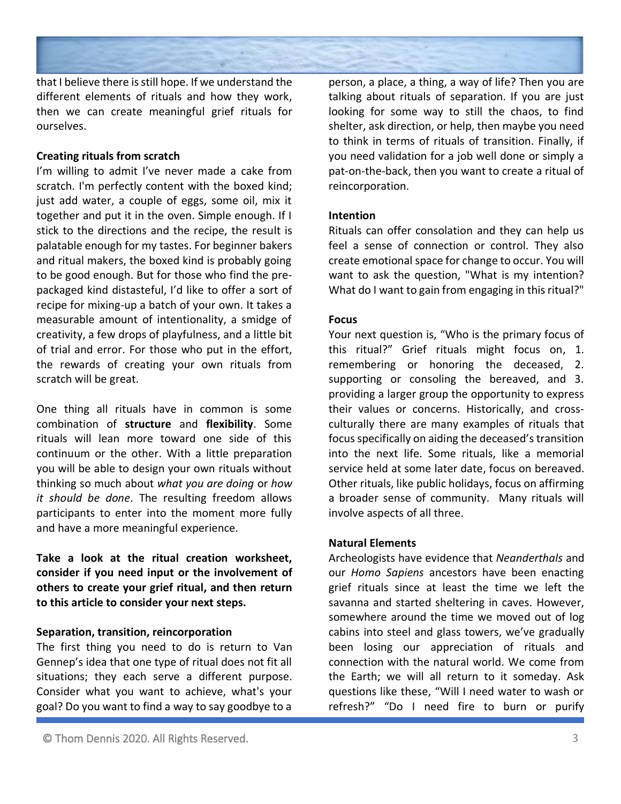

that I believe there is still hope. If we understand the different elements of rituals and how they work, then we can create meaningful grief rituals for ourselves.

### **Creating rituals from scratch**

I'm willing to admit I've never made a cake from scratch. I'm perfectly content with the boxed kind; just add water, a couple of eggs, some oil, mix it together and put it in the oven. Simple enough. If I stick to the directions and the recipe, the result is palatable enough for my tastes. For beginner bakers and ritual makers, the boxed kind is probably going to be good enough. But for those who find the prepackaged kind distasteful, I'd like to offer a sort of recipe for mixing-up a batch of your own. It takes a measurable amount of intentionality, a smidge of creativity, a few drops of playfulness, and a little bit of trial and error. For those who put in the effort, the rewards of creating your own rituals from scratch will be great.

One thing all rituals have in common is some combination of **structure** and **flexibility**. Some rituals will lean more toward one side of this continuum or the other. With a little preparation you will be able to design your own rituals without thinking so much about *what you are doing* or *how it should be done*. The resulting freedom allows participants to enter into the moment more fully and have a more meaningful experience.

**Take a look at the ritual creation worksheet, consider if you need input or the involvement of others to create your grief ritual, and then return to this article to consider your next steps.**

#### **Separation, transition, reincorporation**

The first thing you need to do is return to Van Gennep's idea that one type of ritual does not fit all situations; they each serve a different purpose. Consider what you want to achieve, what's your goal? Do you want to find a way to say goodbye to a

person, a place, a thing, a way of life? Then you are talking about rituals of separation. If you are just looking for some way to still the chaos, to find shelter, ask direction, or help, then maybe you need to think in terms of rituals of transition. Finally, if you need validation for a job well done or simply a pat-on-the-back, then you want to create a ritual of reincorporation.

# **Intention**

Rituals can offer consolation and they can help us feel a sense of connection or control. They also create emotional space for change to occur. You will want to ask the question, "What is my intention? What do I want to gain from engaging in this ritual?"

# **Focus**

Your next question is, "Who is the primary focus of this ritual?" Grief rituals might focus on, 1. remembering or honoring the deceased, 2. supporting or consoling the bereaved, and 3. providing a larger group the opportunity to express their values or concerns. Historically, and crossculturally there are many examples of rituals that focus specifically on aiding the deceased's transition into the next life. Some rituals, like a memorial service held at some later date, focus on bereaved. Other rituals, like public holidays, focus on affirming a broader sense of community. Many rituals will involve aspects of all three.

# **Natural Elements**

Archeologists have evidence that *Neanderthals* and our *Homo Sapiens* ancestors have been enacting grief rituals since at least the time we left the savanna and started sheltering in caves. However, somewhere around the time we moved out of log cabins into steel and glass towers, we've gradually been losing our appreciation of rituals and connection with the natural world. We come from the Earth; we will all return to it someday. Ask questions like these, "Will I need water to wash or refresh?" "Do I need fire to burn or purify